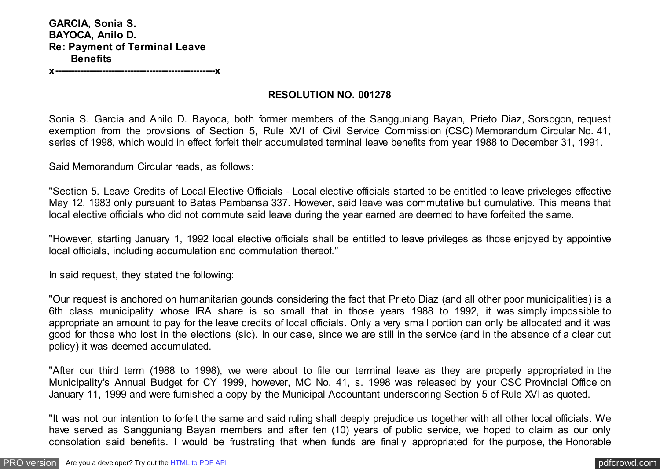**GARCIA, Sonia S. BAYOCA, Anilo D. Re: Payment of Terminal Leave Benefits** 

**x---------------------------------------------------x**

## **RESOLUTION NO. 001278**

Sonia S. Garcia and Anilo D. Bayoca, both former members of the Sangguniang Bayan, Prieto Diaz, Sorsogon, request exemption from the provisions of Section 5, Rule XVI of Civil Service Commission (CSC) Memorandum Circular No. 41, series of 1998, which would in effect forfeit their accumulated terminal leave benefits from year 1988 to December 31, 1991.

Said Memorandum Circular reads, as follows:

"Section 5. Leave Credits of Local Elective Officials - Local elective officials started to be entitled to leave priveleges effective May 12, 1983 only pursuant to Batas Pambansa 337. However, said leave was commutative but cumulative. This means that local elective officials who did not commute said leave during the year earned are deemed to have forfeited the same.

"However, starting January 1, 1992 local elective officials shall be entitled to leave privileges as those enjoyed by appointive local officials, including accumulation and commutation thereof."

In said request, they stated the following:

"Our request is anchored on humanitarian gounds considering the fact that Prieto Diaz (and all other poor municipalities) is a 6th class municipality whose IRA share is so small that in those years 1988 to 1992, it was simply impossible to appropriate an amount to pay for the leave credits of local officials. Only a very small portion can only be allocated and it was good for those who lost in the elections (sic). In our case, since we are still in the service (and in the absence of a clear cut policy) it was deemed accumulated.

"After our third term (1988 to 1998), we were about to file our terminal leave as they are properly appropriated in the Municipality's Annual Budget for CY 1999, however, MC No. 41, s. 1998 was released by your CSC Provincial Office on January 11, 1999 and were furnished a copy by the Municipal Accountant underscoring Section 5 of Rule XVI as quoted.

"It was not our intention to forfeit the same and said ruling shall deeply prejudice us together with all other local officials. We have served as Sangguniang Bayan members and after ten (10) years of public service, we hoped to claim as our only consolation said benefits. I would be frustrating that when funds are finally appropriated for the purpose, the Honorable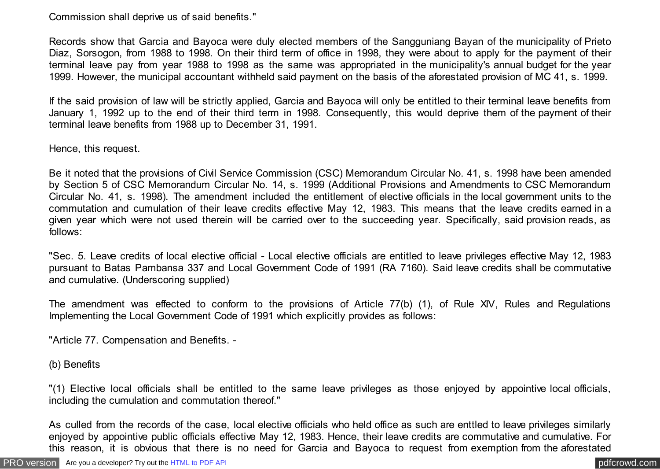Commission shall deprive us of said benefits."

Records show that Garcia and Bayoca were duly elected members of the Sangguniang Bayan of the municipality of Prieto Diaz, Sorsogon, from 1988 to 1998. On their third term of office in 1998, they were about to apply for the payment of their terminal leave pay from year 1988 to 1998 as the same was appropriated in the municipality's annual budget for the year 1999. However, the municipal accountant withheld said payment on the basis of the aforestated provision of MC 41, s. 1999.

If the said provision of law will be strictly applied, Garcia and Bayoca will only be entitled to their terminal leave benefits from January 1, 1992 up to the end of their third term in 1998. Consequently, this would deprive them of the payment of their terminal leave benefits from 1988 up to December 31, 1991.

Hence, this request.

Be it noted that the provisions of Civil Service Commission (CSC) Memorandum Circular No. 41, s. 1998 have been amended by Section 5 of CSC Memorandum Circular No. 14, s. 1999 (Additional Provisions and Amendments to CSC Memorandum Circular No. 41, s. 1998). The amendment included the entitlement of elective officials in the local government units to the commutation and cumulation of their leave credits effective May 12, 1983. This means that the leave credits earned in a given year which were not used therein will be carried over to the succeeding year. Specifically, said provision reads, as follows:

"Sec. 5. Leave credits of local elective official - Local elective officials are entitled to leave privileges effective May 12, 1983 pursuant to Batas Pambansa 337 and Local Government Code of 1991 (RA 7160). Said leave credits shall be commutative and cumulative. (Underscoring supplied)

The amendment was effected to conform to the provisions of Article 77(b) (1), of Rule XIV, Rules and Regulations Implementing the Local Government Code of 1991 which explicitly provides as follows:

"Article 77. Compensation and Benefits. -

(b) Benefits

"(1) Elective local officials shall be entitled to the same leave privileges as those enjoyed by appointive local officials, including the cumulation and commutation thereof."

As culled from the records of the case, local elective officials who held office as such are enttled to leave privileges similarly enjoyed by appointive public officials effective May 12, 1983. Hence, their leave credits are commutative and cumulative. For this reason, it is obvious that there is no need for Garcia and Bayoca to request from exemption from the aforestated